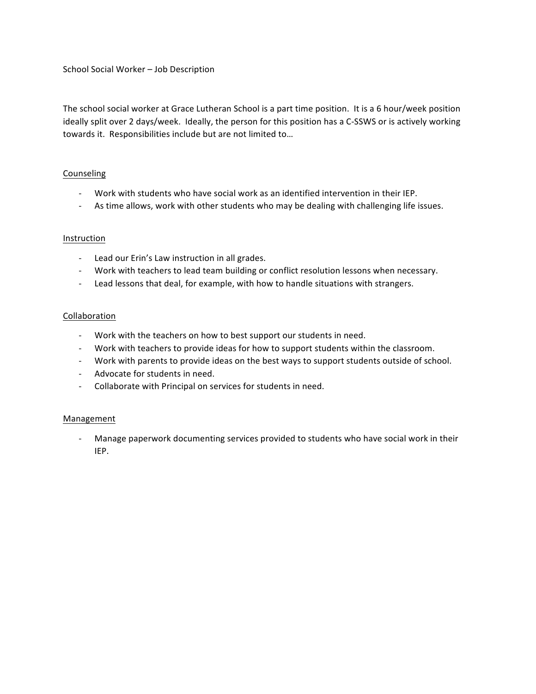School Social Worker - Job Description

The school social worker at Grace Lutheran School is a part time position. It is a 6 hour/week position ideally split over 2 days/week. Ideally, the person for this position has a C-SSWS or is actively working towards it. Responsibilities include but are not limited to...

## Counseling

- Work with students who have social work as an identified intervention in their IEP.
- As time allows, work with other students who may be dealing with challenging life issues.

## Instruction

- Lead our Erin's Law instruction in all grades.
- Work with teachers to lead team building or conflict resolution lessons when necessary.
- Lead lessons that deal, for example, with how to handle situations with strangers.

# Collaboration

- Work with the teachers on how to best support our students in need.
- Work with teachers to provide ideas for how to support students within the classroom.
- Work with parents to provide ideas on the best ways to support students outside of school.
- Advocate for students in need.
- Collaborate with Principal on services for students in need.

## **Management**

- Manage paperwork documenting services provided to students who have social work in their IEP.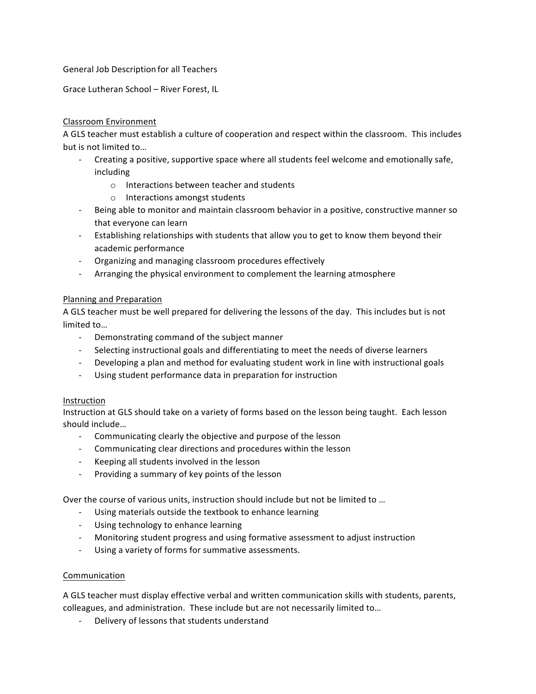## General Job Description for all Teachers

Grace Lutheran School - River Forest, IL

# Classroom Environment

A GLS teacher must establish a culture of cooperation and respect within the classroom. This includes but is not limited to...

- Creating a positive, supportive space where all students feel welcome and emotionally safe, including
	- $\circ$  Interactions between teacher and students
	- o Interactions amongst students
- Being able to monitor and maintain classroom behavior in a positive, constructive manner so that everyone can learn
- Establishing relationships with students that allow you to get to know them beyond their academic performance
- Organizing and managing classroom procedures effectively
- Arranging the physical environment to complement the learning atmosphere

# Planning and Preparation

A GLS teacher must be well prepared for delivering the lessons of the day. This includes but is not limited to...

- Demonstrating command of the subject manner
- Selecting instructional goals and differentiating to meet the needs of diverse learners
- Developing a plan and method for evaluating student work in line with instructional goals
- Using student performance data in preparation for instruction

## Instruction

Instruction at GLS should take on a variety of forms based on the lesson being taught. Each lesson should include...

- Communicating clearly the objective and purpose of the lesson
- Communicating clear directions and procedures within the lesson
- Keeping all students involved in the lesson
- Providing a summary of key points of the lesson

Over the course of various units, instruction should include but not be limited to ...

- Using materials outside the textbook to enhance learning
- Using technology to enhance learning
- Monitoring student progress and using formative assessment to adjust instruction
- Using a variety of forms for summative assessments.

## Communication

A GLS teacher must display effective verbal and written communication skills with students, parents, colleagues, and administration. These include but are not necessarily limited to...

- Delivery of lessons that students understand